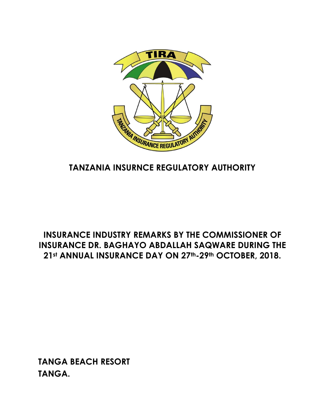

# **TANZANIA INSURNCE REGULATORY AUTHORITY**

### **INSURANCE INDUSTRY REMARKS BY THE COMMISSIONER OF INSURANCE DR. BAGHAYO ABDALLAH SAQWARE DURING THE 21st ANNUAL INSURANCE DAY ON 27th-29th OCTOBER, 2018.**

**TANGA BEACH RESORT TANGA.**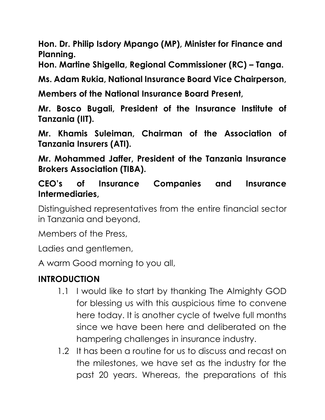**Hon. Dr. Philip Isdory Mpango (MP), Minister for Finance and Planning.** 

**Hon. Martine Shigella, Regional Commissioner (RC) – Tanga.** 

**Ms. Adam Rukia, National Insurance Board Vice Chairperson,** 

**Members of the National Insurance Board Present,**

**Mr. Bosco Bugali, President of the Insurance Institute of Tanzania (IIT).**

**Mr. Khamis Suleiman, Chairman of the Association of Tanzania Insurers (ATI).**

**Mr. Mohammed Jaffer, President of the Tanzania Insurance Brokers Association (TIBA).**

**CEO's of Insurance Companies and Insurance Intermediaries,** 

Distinguished representatives from the entire financial sector in Tanzania and beyond,

Members of the Press,

Ladies and gentlemen,

A warm Good morning to you all,

## **INTRODUCTION**

- 1.1 I would like to start by thanking The Almighty GOD for blessing us with this auspicious time to convene here today. It is another cycle of twelve full months since we have been here and deliberated on the hampering challenges in insurance industry.
- 1.2 It has been a routine for us to discuss and recast on the milestones, we have set as the industry for the past 20 years. Whereas, the preparations of this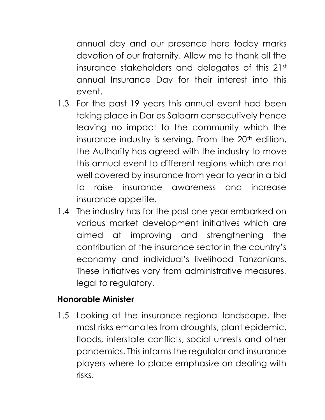annual day and our presence here today marks devotion of our fraternity. Allow me to thank all the insurance stakeholders and delegates of this 21st annual Insurance Day for their interest into this event.

- 1.3 For the past 19 years this annual event had been taking place in Dar es Salaam consecutively hence leaving no impact to the community which the insurance industry is serving. From the  $20<sup>th</sup>$  edition, the Authority has agreed with the industry to move this annual event to different regions which are not well covered by insurance from year to year in a bid to raise insurance awareness and increase insurance appetite.
- 1.4 The industry has for the past one year embarked on various market development initiatives which are aimed at improving and strengthening the contribution of the insurance sector in the country's economy and individual's livelihood Tanzanians. These initiatives vary from administrative measures, legal to regulatory.

#### **Honorable Minister**

1.5 Looking at the insurance regional landscape, the most risks emanates from droughts, plant epidemic, floods, interstate conflicts, social unrests and other pandemics. This informs the regulator and insurance players where to place emphasize on dealing with risks.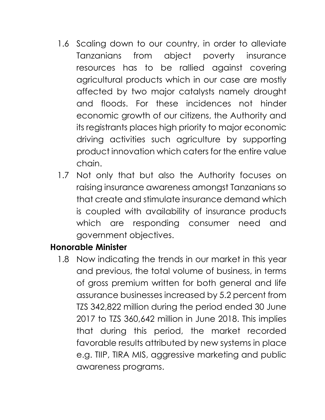- 1.6 Scaling down to our country, in order to alleviate Tanzanians from abject poverty insurance resources has to be rallied against covering agricultural products which in our case are mostly affected by two major catalysts namely drought and floods. For these incidences not hinder economic growth of our citizens, the Authority and its registrants places high priority to major economic driving activities such agriculture by supporting product innovation which caters for the entire value chain.
- 1.7 Not only that but also the Authority focuses on raising insurance awareness amongst Tanzanians so that create and stimulate insurance demand which is coupled with availability of insurance products which are responding consumer need and government objectives.

## **Honorable Minister**

1.8 Now indicating the trends in our market in this year and previous, the total volume of business, in terms of gross premium written for both general and life assurance businesses increased by 5.2 percent from TZS 342,822 million during the period ended 30 June 2017 to TZS 360,642 million in June 2018. This implies that during this period, the market recorded favorable results attributed by new systems in place e.g. TIIP, TIRA MIS, aggressive marketing and public awareness programs.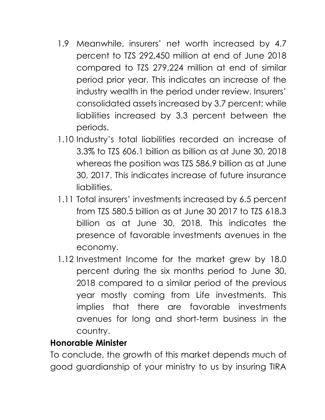- 1.9 Meanwhile, insurers' net worth increased by 4.7 percent to TZS 292,450 million at end of June 2018 compared to TZS 279,224 million at end of similar period prior year. This indicates an increase of the industry wealth in the period under review. Insurers' consolidated assets increased by 3.7 percent; while liabilities increased by 3.3 percent between the periods.
- 1.10 Industry's total liabilities recorded an increase of 3.3% to TZS 606.1 billion as billion as at June 30, 2018 whereas the position was TZS 586.9 billion as at June 30, 2017. This indicates increase of future insurance liabilities.
- 1.11 Total insurers' investments increased by 6.5 percent from TZS 580.5 billion as at June 30 2017 to TZS 618.3 billion as at June 30, 2018. This indicates the presence of favorable investments avenues in the economy.
- 1.12 Investment Income for the market grew by 18.0 percent during the six months period to June 30, 2018 compared to a similar period of the previous year mostly coming from Life investments. This implies that there are favorable investments avenues for long and short-term business in the country.

#### **Honorable Minister**

To conclude, the growth of this market depends much of good guardianship of your ministry to us by insuring TIRA